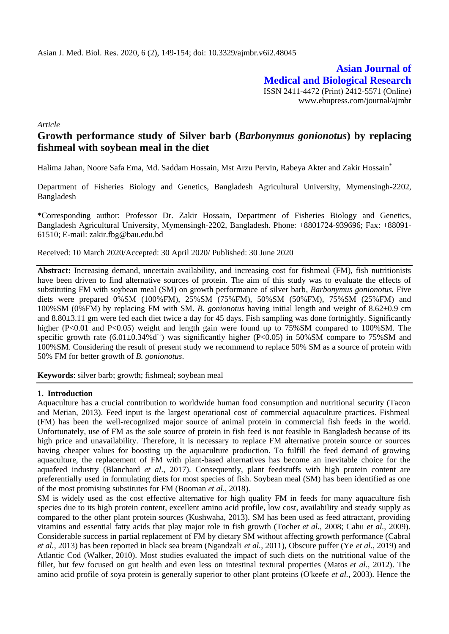**Asian Journal of Medical and Biological Research** ISSN 2411-4472 (Print) 2412-5571 (Online) www.ebupress.com/journal/ajmbr

*Article*

# **Growth performance study of Silver barb (***Barbonymus gonionotus***) by replacing fishmeal with soybean meal in the diet**

Halima Jahan, Noore Safa Ema, Md. Saddam Hossain, Mst Arzu Pervin, Rabeya Akter and Zakir Hossain\*

Department of Fisheries Biology and Genetics, Bangladesh Agricultural University, Mymensingh-2202, Bangladesh

\*Corresponding author: Professor Dr. Zakir Hossain, Department of Fisheries Biology and Genetics, Bangladesh Agricultural University, Mymensingh-2202, Bangladesh. Phone: +8801724-939696; Fax: +88091- 61510; E-mail: [zakir.fbg@bau.edu.bd](mailto:zakir.fbg@bau.edu.bd)

Received: 10 March 2020/Accepted: 30 April 2020/ Published: 30 June 2020

**Abstract:** Increasing demand, uncertain availability, and increasing cost for fishmeal (FM), fish nutritionists have been driven to find alternative sources of protein. The aim of this study was to evaluate the effects of substituting FM with soybean meal (SM) on growth performance of silver barb*, Barbonymus gonionotus.* Five diets were prepared 0%SM (100%FM), 25%SM (75%FM), 50%SM (50%FM), 75%SM (25%FM) and 100%SM (0%FM) by replacing FM with SM. *B. gonionotus* having initial length and weight of 8.62±0.9 cm and 8.80±3.11 gm were fed each diet twice a day for 45 days. Fish sampling was done fortnightly. Significantly higher (P<0.01 and P<0.05) weight and length gain were found up to 75%SM compared to 100%SM. The specific growth rate  $(6.01 \pm 0.34 \times d^{-1})$  was significantly higher (P<0.05) in 50%SM compare to 75%SM and 100%SM. Considering the result of present study we recommend to replace 50% SM as a source of protein with 50% FM for better growth of *B. gonionotus*.

**Keywords**: silver barb; growth; fishmeal; soybean meal

#### **1. Introduction**

Aquaculture has a crucial contribution to worldwide human food consumption and nutritional security (Tacon and Metian, 2013). Feed input is the largest operational cost of commercial aquaculture practices. Fishmeal (FM) has been the well-recognized major source of animal protein in commercial fish feeds in the world. Unfortunately, use of FM as the sole source of protein in fish feed is not feasible in Bangladesh because of its high price and unavailability. Therefore, it is necessary to replace FM alternative protein source or sources having cheaper values for boosting up the aquaculture production. To fulfill the feed demand of growing aquaculture, the replacement of FM with plant-based alternatives has become an inevitable choice for the aquafeed industry (Blanchard *et al*., 2017). Consequently, plant feedstuffs with high protein content are preferentially used in formulating diets for most species of fish. Soybean meal (SM) has been identified as one of the most promising substitutes for FM (Booman *et al*., 2018).

SM is widely used as the cost effective alternative for high quality FM in feeds for many aquaculture fish species due to its high protein content, excellent amino acid profile, low cost, availability and steady supply as compared to the other plant protein sources (Kushwaha, 2013). SM has been used as feed attractant, providing vitamins and essential fatty acids that play major role in fish growth (Tocher *et al.,* 2008; Cahu *et al.,* 2009). Considerable success in partial replacement of FM by dietary SM without affecting growth performance (Cabral *et al.,* 2013) has been reported in black sea bream (Ngandzali *et al.,* 2011), Obscure puffer (Ye *et al.,* 2019) and Atlantic Cod (Walker, 2010). Most studies evaluated the impact of such diets on the nutritional value of the fillet, but few focused on gut health and even less on intestinal textural properties (Matos *et al.,* 2012). The amino acid profile of soya protein is generally superior to other plant proteins (O'keefe *et al.,* 2003). Hence the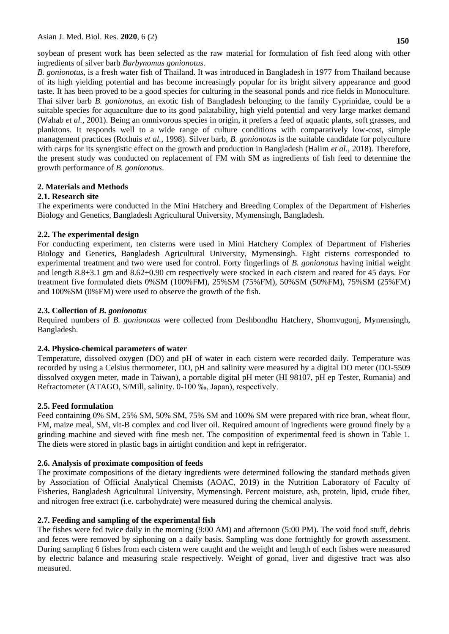soybean of present work has been selected as the raw material for formulation of fish feed along with other ingredients of silver barb *Barbynomus gonionotus.*

*B. gonionotus,* is a fresh water fish of Thailand. It was introduced in Bangladesh in 1977 from Thailand because of its high yielding potential and has become increasingly popular for its bright silvery appearance and good taste. It has been proved to be a good species for culturing in the seasonal ponds and rice fields in Monoculture. Thai silver barb *B. gonionotus*, an exotic fish of Bangladesh belonging to the family Cyprinidae, could be a suitable species for aquaculture due to its good palatability, high yield potential and very large market demand (Wahab *et al.,* 2001). Being an omnivorous species in origin, it prefers a feed of aquatic plants, soft grasses, and planktons. It responds well to a wide range of culture conditions with comparatively low-cost, simple management practices (Rothuis *et al.,* 1998). Silver barb, *B. gonionotus* is the suitable candidate for polyculture with carps for its synergistic effect on the growth and production in Bangladesh (Halim *et al.,* 2018). Therefore, the present study was conducted on replacement of FM with SM as ingredients of fish feed to determine the growth performance of *B. gonionotus*.

# **2. Materials and Methods**

### **2.1. Research site**

The experiments were conducted in the Mini Hatchery and Breeding Complex of the Department of Fisheries Biology and Genetics, Bangladesh Agricultural University, Mymensingh, Bangladesh.

# **2.2. The experimental design**

For conducting experiment, ten cisterns were used in Mini Hatchery Complex of Department of Fisheries Biology and Genetics, Bangladesh Agricultural University, Mymensingh. Eight cisterns corresponded to experimental treatment and two were used for control. Forty fingerlings of *B. gonionotus* having initial weight and length 8.8±3.1 gm and 8.62±0.90 cm respectively were stocked in each cistern and reared for 45 days. For treatment five formulated diets 0%SM (100%FM), 25%SM (75%FM), 50%SM (50%FM), 75%SM (25%FM) and 100%SM (0%FM) were used to observe the growth of the fish.

# **2.3. Collection of** *B. gonionotus*

Required numbers of *B. gonionotus* were collected from Deshbondhu Hatchery, Shomvugonj, Mymensingh, Bangladesh.

### **2.4. Physico-chemical parameters of water**

Temperature, dissolved oxygen (DO) and pH of water in each cistern were recorded daily. Temperature was recorded by using a Celsius thermometer, DO, pH and salinity were measured by a digital DO meter (DO-5509 dissolved oxygen meter, made in Taiwan), a portable digital pH meter (HI 98107, pH ep Tester, Rumania) and Refractometer (ATAGO, S/Mill, salinity. 0-100 ‰, Japan), respectively.

### **2.5. Feed formulation**

Feed containing 0% SM, 25% SM, 50% SM, 75% SM and 100% SM were prepared with rice bran, wheat flour, FM, maize meal, SM, vit-B complex and cod liver oil. Required amount of ingredients were ground finely by a grinding machine and sieved with fine mesh net. The composition of experimental feed is shown in Table 1. The diets were stored in plastic bags in airtight condition and kept in refrigerator.

### **2.6. Analysis of proximate composition of feeds**

The proximate compositions of the dietary ingredients were determined following the standard methods given by Association of Official Analytical Chemists (AOAC, 2019) in the Nutrition Laboratory of Faculty of Fisheries, Bangladesh Agricultural University, Mymensingh. Percent moisture, ash, protein, lipid, crude fiber, and nitrogen free extract (i.e. carbohydrate) were measured during the chemical analysis.

### **2.7. Feeding and sampling of the experimental fish**

The fishes were fed twice daily in the morning (9:00 AM) and afternoon (5:00 PM). The void food stuff, debris and feces were removed by siphoning on a daily basis. Sampling was done fortnightly for growth assessment. During sampling 6 fishes from each cistern were caught and the weight and length of each fishes were measured by electric balance and measuring scale respectively. Weight of gonad, liver and digestive tract was also measured.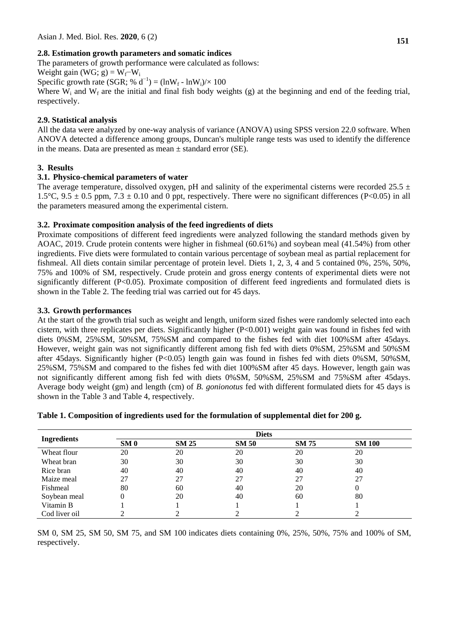# **2.8. Estimation growth parameters and somatic indices**

The parameters of growth performance were calculated as follows:

Weight gain (WG; g) =  $W_f-W_i$ 

Specific growth rate (SGR; %  $d^{-1}$ ) = (lnW<sub>f</sub> - lnW<sub>i</sub>)/× 100

Where  $W_i$  and  $W_f$  are the initial and final fish body weights (g) at the beginning and end of the feeding trial, respectively.

# **2.9. Statistical analysis**

All the data were analyzed by one-way analysis of variance (ANOVA) using SPSS version 22.0 software. When ANOVA detected a difference among groups, Duncan's multiple range tests was used to identify the difference in the means. Data are presented as mean  $\pm$  standard error (SE).

# **3. Results**

# **3.1. Physico-chemical parameters of water**

The average temperature, dissolved oxygen, pH and salinity of the experimental cisterns were recorded 25.5  $\pm$ 1.5°C, 9.5  $\pm$  0.5 ppm, 7.3  $\pm$  0.10 and 0 ppt, respectively. There were no significant differences (P<0.05) in all the parameters measured among the experimental cistern.

# **3.2. Proximate composition analysis of the feed ingredients of diets**

Proximate compositions of different feed ingredients were analyzed following the standard methods given by AOAC, 2019. Crude protein contents were higher in fishmeal (60.61%) and soybean meal (41.54%) from other ingredients. Five diets were formulated to contain various percentage of soybean meal as partial replacement for fishmeal. All diets contain similar percentage of protein level. Diets 1, 2, 3, 4 and 5 contained 0%, 25%, 50%, 75% and 100% of SM, respectively. Crude protein and gross energy contents of experimental diets were not significantly different (P<0.05). Proximate composition of different feed ingredients and formulated diets is shown in the Table 2. The feeding trial was carried out for 45 days.

# **3.3. Growth performances**

At the start of the growth trial such as weight and length, uniform sized fishes were randomly selected into each cistern, with three replicates per diets. Significantly higher (P<0.001) weight gain was found in fishes fed with diets 0%SM, 25%SM, 50%SM, 75%SM and compared to the fishes fed with diet 100%SM after 45days. However, weight gain was not significantly different among fish fed with diets 0%SM, 25%SM and 50%SM after 45days. Significantly higher (P<0.05) length gain was found in fishes fed with diets 0%SM, 50%SM, 25%SM, 75%SM and compared to the fishes fed with diet 100%SM after 45 days. However, length gain was not significantly different among fish fed with diets 0%SM, 50%SM, 25%SM and 75%SM after 45days. Average body weight (gm) and length (cm) of *B. gonionotus* fed with different formulated diets for 45 days is shown in the Table 3 and Table 4, respectively.

|                    | <b>Diets</b>    |              |              |              |               |  |
|--------------------|-----------------|--------------|--------------|--------------|---------------|--|
| <b>Ingredients</b> | SM <sub>0</sub> | <b>SM 25</b> | <b>SM 50</b> | <b>SM 75</b> | <b>SM 100</b> |  |
| Wheat flour        | 20              | 20           | 20           | 20           | 20            |  |
| Wheat bran         | 30              | 30           | 30           | 30           | 30            |  |
| Rice bran          | 40              | 40           | 40           | 40           | 40            |  |
| Maize meal         | 27              | 27           | 27           | 27           | 27            |  |
| Fishmeal           | 80              | 60           | 40           | 20           | 0             |  |
| Soybean meal       |                 | 20           | 40           | 60           | 80            |  |
| Vitamin B          |                 |              |              |              |               |  |
| Cod liver oil      |                 |              |              |              |               |  |

### **Table 1. Composition of ingredients used for the formulation of supplemental diet for 200 g.**

SM 0, SM 25, SM 50, SM 75, and SM 100 indicates diets containing 0%, 25%, 50%, 75% and 100% of SM, respectively.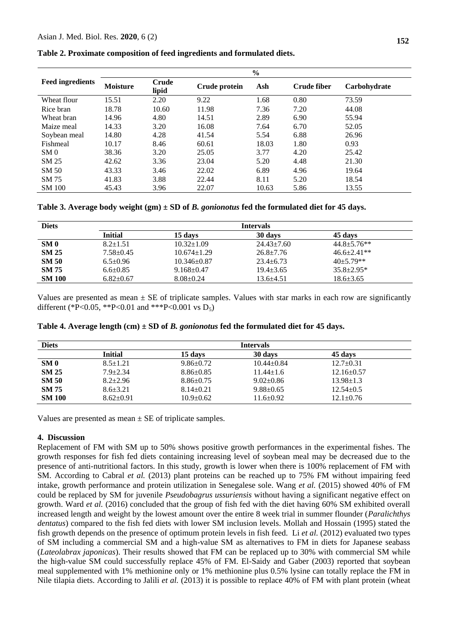|  | Table 2. Proximate composition of feed ingredients and formulated diets. |  |  |  |
|--|--------------------------------------------------------------------------|--|--|--|
|  |                                                                          |  |  |  |

|                         | $\frac{6}{6}$   |                |               |       |             |              |
|-------------------------|-----------------|----------------|---------------|-------|-------------|--------------|
| <b>Feed ingredients</b> | <b>Moisture</b> | Crude<br>lipid | Crude protein | Ash   | Crude fiber | Carbohydrate |
| Wheat flour             | 15.51           | 2.20           | 9.22          | 1.68  | 0.80        | 73.59        |
| Rice bran               | 18.78           | 10.60          | 11.98         | 7.36  | 7.20        | 44.08        |
| Wheat bran              | 14.96           | 4.80           | 14.51         | 2.89  | 6.90        | 55.94        |
| Maize meal              | 14.33           | 3.20           | 16.08         | 7.64  | 6.70        | 52.05        |
| Soybean meal            | 14.80           | 4.28           | 41.54         | 5.54  | 6.88        | 26.96        |
| Fishmeal                | 10.17           | 8.46           | 60.61         | 18.03 | 1.80        | 0.93         |
| SM <sub>0</sub>         | 38.36           | 3.20           | 25.05         | 3.77  | 4.20        | 25.42        |
| SM 25                   | 42.62           | 3.36           | 23.04         | 5.20  | 4.48        | 21.30        |
| SM 50                   | 43.33           | 3.46           | 22.02         | 6.89  | 4.96        | 19.64        |
| SM 75                   | 41.83           | 3.88           | 22.44         | 8.11  | 5.20        | 18.54        |
| <b>SM 100</b>           | 45.43           | 3.96           | 22.07         | 10.63 | 5.86        | 13.55        |

**Table 3. Average body weight (gm) ± SD of** *B. gonionotus* **fed the formulated diet for 45 days.** 

| <b>Diets</b>    | <b>Intervals</b> |                   |                  |                    |  |  |
|-----------------|------------------|-------------------|------------------|--------------------|--|--|
|                 | Initial          | 15 days           | 30 days          | 45 days            |  |  |
| SM <sub>0</sub> | $8.2 + 1.51$     | $10.32 \pm 1.09$  | $24.43 \pm 7.60$ | $44.8 \pm 5.76$ ** |  |  |
| <b>SM 25</b>    | $7.58 \pm 0.45$  | $10.674 \pm 1.29$ | $26.8 + 7.76$    | $46.6 \pm 2.41**$  |  |  |
| <b>SM 50</b>    | $6.5 \pm 0.96$   | $10.346 \pm 0.87$ | $23.4 + 6.73$    | $40+5.79**$        |  |  |
| <b>SM 75</b>    | $6.6 \pm 0.85$   | $9.168 \pm 0.47$  | $19.4 + 3.65$    | $35.8 \pm 2.95*$   |  |  |
| <b>SM 100</b>   | $6.82 \pm 0.67$  | $8.08 \pm 0.24$   | $13.6 \pm 4.51$  | $18.6 \pm 3.65$    |  |  |

Values are presented as mean  $\pm$  SE of triplicate samples. Values with star marks in each row are significantly different (\*P<0.05, \*\*P<0.01 and \*\*\*P<0.001 vs  $D_5$ )

| Table 4. Average length $(cm) \pm SD$ of <i>B</i> . <i>gonionotus</i> fed the formulated diet for 45 days. |  |  |
|------------------------------------------------------------------------------------------------------------|--|--|
|------------------------------------------------------------------------------------------------------------|--|--|

| <b>Diets</b>    | <b>Intervals</b> |                 |                  |                  |  |
|-----------------|------------------|-----------------|------------------|------------------|--|
|                 | Initial          | 15 davs         | 30 days          | 45 days          |  |
| SM <sub>0</sub> | $8.5 \pm 1.21$   | $9.86 \pm 0.72$ | $10.44 \pm 0.84$ | $12.7 \pm 0.31$  |  |
| <b>SM 25</b>    | $7.9 \pm 2.34$   | $8.86 \pm 0.85$ | $11.44 \pm 1.6$  | $12.16 \pm 0.57$ |  |
| <b>SM 50</b>    | $8.2 + 2.96$     | $8.86 \pm 0.75$ | $9.02 \pm 0.86$  | $13.98 \pm 1.3$  |  |
| <b>SM 75</b>    | $8.6 + 3.21$     | $8.14 \pm 0.21$ | $9.88 \pm 0.65$  | $12.54 \pm 0.5$  |  |
| <b>SM 100</b>   | $8.62 \pm 0.91$  | $10.9 \pm 0.62$ | $11.6 \pm 0.92$  | $12.1 \pm 0.76$  |  |

Values are presented as mean  $\pm$  SE of triplicate samples.

#### **4. Discussion**

Replacement of FM with SM up to 50% shows positive growth performances in the experimental fishes. The growth responses for fish fed diets containing increasing level of soybean meal may be decreased due to the presence of anti-nutritional factors. In this study, growth is lower when there is 100% replacement of FM with SM. According to Cabral *et al.* (2013) plant proteins can be reached up to 75% FM without impairing feed intake, growth performance and protein utilization in Senegalese sole. Wang *et al.* (2015) showed 40% of FM could be replaced by SM for juvenile *Pseudobagrus ussuriensis* without having a significant negative effect on growth. Ward *et al.* (2016) concluded that the group of fish fed with the diet having 60% SM exhibited overall increased length and weight by the lowest amount over the entire 8 week trial in summer flounder (*Paralichthys dentatus*) compared to the fish fed diets with lower SM inclusion levels. Mollah and Hossain (1995) stated the fish growth depends on the presence of optimum protein levels in fish feed. Li *et al.* (2012) evaluated two types of SM including a commercial SM and a high-value SM as alternatives to FM in diets for Japanese seabass (*Lateolabrax japonicas*). Their results showed that FM can be replaced up to 30% with commercial SM while the high-value SM could successfully replace 45% of FM. El-Saidy and Gaber (2003) reported that soybean meal supplemented with 1% methionine only or 1% methionine plus 0.5% lysine can totally replace the FM in Nile tilapia diets. According to Jalili *et al.* (2013) it is possible to replace 40% of FM with plant protein (wheat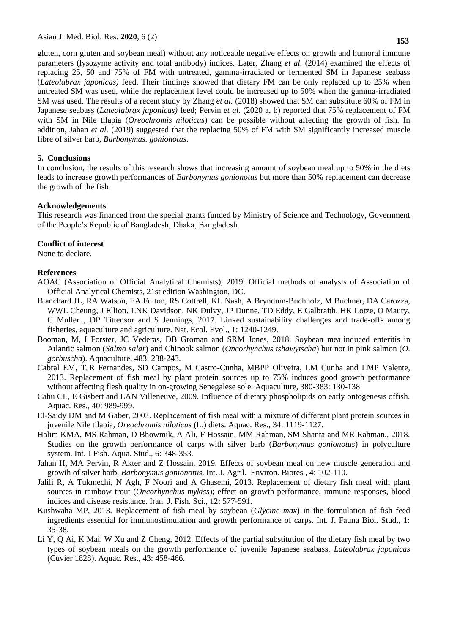**153**

gluten, corn gluten and soybean meal) without any noticeable negative effects on growth and humoral immune parameters (lysozyme activity and total antibody) indices. Later, Zhang *et al.* (2014) examined the effects of replacing 25, 50 and 75% of FM with untreated, gamma-irradiated or fermented SM in Japanese seabass (*Lateolabrax japonicas)* feed. Their findings showed that dietary FM can be only replaced up to 25% when untreated SM was used, while the replacement level could be increased up to 50% when the gamma-irradiated SM was used. The results of a recent study by Zhang *et al.* (2018) showed that SM can substitute 60% of FM in Japanese seabass (*Lateolabrax japonicas)* feed; Pervin *et al.* (2020 a, b) reported that 75% replacement of FM with SM in Nile tilapia (*Oreochromis niloticus*) can be possible without affecting the growth of fish. In addition, Jahan *et al.* (2019) suggested that the replacing 50% of FM with SM significantly increased muscle fibre of silver barb, *Barbonymus. gonionotus*.

# **5. Conclusions**

In conclusion, the results of this research shows that increasing amount of soybean meal up to 50% in the diets leads to increase growth performances of *Barbonymus gonionotus* but more than 50% replacement can decrease the growth of the fish.

# **Acknowledgements**

This research was financed from the special grants funded by Ministry of Science and Technology, Government of the People's Republic of Bangladesh, Dhaka, Bangladesh.

# **Conflict of interest**

None to declare.

# **References**

- AOAC (Association of Official Analytical Chemists), 2019. Official methods of analysis of Association of Official Analytical Chemists, 21st edition Washington, DC.
- Blanchard JL, RA Watson, EA Fulton, RS Cottrell, KL Nash, A Bryndum-Buchholz, M Buchner, DA Carozza, WWL Cheung, J Elliott, LNK Davidson, NK Dulvy, JP Dunne, TD Eddy, E Galbraith, HK Lotze, O Maury, C Muller [,](http://refhub.elsevier.com/S0165-2427(19)30288-0/sbref0015) DP Tittensor and S Jennings, 2017. Linked sustainability challenges and trade-of[fs a](http://refhub.elsevier.com/S0165-2427(19)30288-0/sbref0015)mong fisheries, aquaculture and agriculture. Nat. Ecol. Evol., 1: 1240-12[49.](http://refhub.elsevier.com/S0165-2427(19)30288-0/sbref0015)
- Booman, M, I Forster, JC Vederas, DB Groman and SRM Jones, 2018. Soybean mealinduced enteritis in Atlantic salmon (*Salmo salar*) and Chinook salm[on \(](http://refhub.elsevier.com/S0165-2427(19)30288-0/sbref0020)*Oncorhynchus tshawytscha*) but not in pink salmon (*O. gorbuscha*). Aquacultu[re, 4](http://refhub.elsevier.com/S0165-2427(19)30288-0/sbref0020)83: 238-2[43.](http://refhub.elsevier.com/S0165-2427(19)30288-0/sbref0020)
- Cabral EM, TJR Fernandes, SD Campos, M Castro-Cunha, MBPP Oliveira, LM Cunha and LMP Valente, 2013. Replacement of fish meal by plant protein sources up to 75% induces good growth performance without affecting flesh quality in on-growing Senegalese sole. Aquaculture, 380-383: 130-138.
- Cahu CL, E Gisbert and LAN Villeneuve, 2009. Influence of dietary phospholipids on early ontogenesis offish. Aquac. Res*.*, 40: 989-999.
- El-Saidy DM and M Gaber, 2003. Replacement of fish meal with a mixture of different plant protein sources in juvenile Nile tilapia, *Oreochromis niloticus* (L.) diets. Aquac. Res., 34: 1119-1127.
- Halim KMA, MS Rahman, D Bhowmik, A Ali, F Hossain, MM Rahman, SM Shanta and MR Rahman., 2018. Studies on the growth performance of carps with silver barb (*Barbonymus gonionotus*) in polyculture system. Int. J Fish. Aqua. Stud., 6: 348-353.
- Jahan H, MA Pervin, R Akter and Z Hossain, 2019. [Effects of soybean meal on new muscle generation and](javascript:void(0))  growth of silver barb, *[Barbonymus gonionotus](javascript:void(0))*. Int. J. Agril. Environ. Biores*.,* 4: 102-110.
- Jalili R, A Tukmechi, N Agh, F Noori and A Ghasemi, 2013. Replacement of dietary fish meal with plant sources in rainbow trout (*Oncorhynchus mykiss*); effect on growth performance, immune responses, blood indices and disease resistance. Iran. J. Fish. Sci., 12: 577-591.
- Kushwaha MP, 2013. Replacement of fish meal by soybean (*Glycine max*) in the formulation of fish feed ingredients essential for immunostimulation and growth performance of carps. Int. J. Fauna Biol. Stud., 1: 35-38.
- Li Y, Q Ai, K Mai, W Xu and Z Cheng, 2012. Effects of the partial substitution of the dietary fish meal by two types of soybean meals on the growth performance of juvenile Japanese seabass, *Lateolabrax japonicas* (Cuvier 1828). Aquac. Res., 43: 458-466.